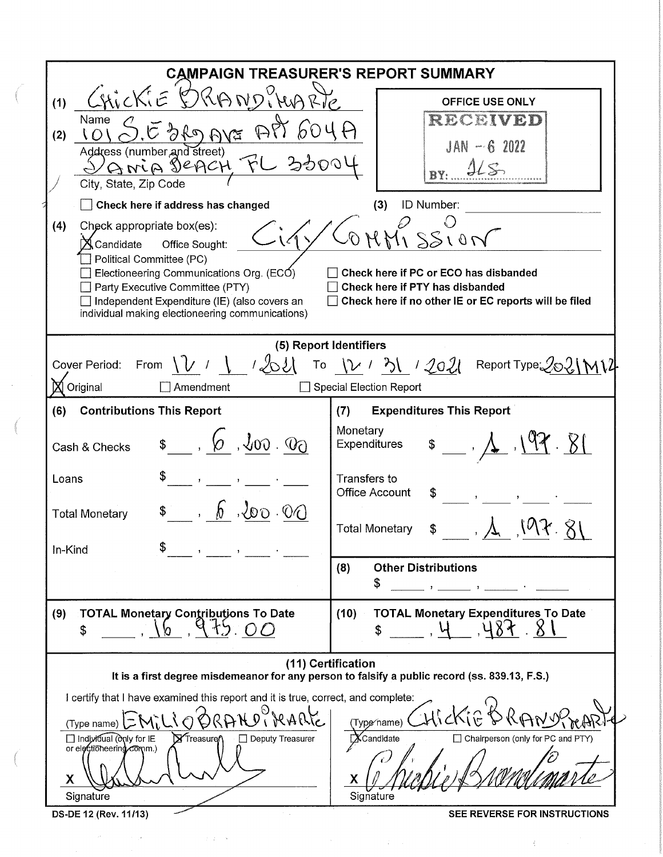| <b>CAMPAIGN TREASURER'S REPORT SUMMARY</b>                                                                                                                                                                                                                                                                                                                                                                                                                                                          |                                                                                                                                                                                                          |  |  |  |  |  |
|-----------------------------------------------------------------------------------------------------------------------------------------------------------------------------------------------------------------------------------------------------------------------------------------------------------------------------------------------------------------------------------------------------------------------------------------------------------------------------------------------------|----------------------------------------------------------------------------------------------------------------------------------------------------------------------------------------------------------|--|--|--|--|--|
| CHICKIE DRANDPHARTE<br>(1)<br><b>OFFICE USE ONLY</b><br>RECEIVED<br>Name<br>An AVE<br>$\mathbb{R}^{n}$<br>(2)<br>$JAN - 62022$<br>Address (number and street)<br>GiviA DEACH FL 33001<br>City, State, Zip Code                                                                                                                                                                                                                                                                                      |                                                                                                                                                                                                          |  |  |  |  |  |
| ID Number:<br>Check here if address has changed<br>(3)<br>(4)<br>Check appropriate box(es):<br>SS10N<br>$\bigtimes$ Candidate<br>Office Sought:<br>Political Committee (PC)<br>Electioneering Communications Org. (ECO)<br>Check here if PC or ECO has disbanded<br>Check here if PTY has disbanded<br>Party Executive Committee (PTY)<br>Independent Expenditure (IE) (also covers an<br>Check here if no other IE or EC reports will be filed<br>individual making electioneering communications) |                                                                                                                                                                                                          |  |  |  |  |  |
| (5) Report Identifiers<br>Cover Period: From $\sqrt{V}$ / $\sqrt{2}$ / $\sqrt{2}$ To $\sqrt{2}$ / $\sqrt{3}$ / $\sqrt{20}$ Report Type $\sqrt{20}$ $\sqrt{10}$<br>Original<br>Amendment<br>Special Election Report                                                                                                                                                                                                                                                                                  |                                                                                                                                                                                                          |  |  |  |  |  |
| (6)<br><b>Contributions This Report</b><br>$\frac{1}{2}$ , $\frac{1}{2}$ , $\frac{1}{2}$ , $\frac{1}{2}$<br>Cash & Checks<br>Loans<br>$\mathcal{O} \cdot \mathcal{O} \cdot \mathcal{O}$<br><b>Total Monetary</b><br>In-Kind                                                                                                                                                                                                                                                                         | <b>Expenditures This Report</b><br>(7)<br>Monetary<br>$\sqrt[3]{7}$ .<br>Expenditures<br>Transfers to<br><b>Office Account</b><br>\$<br><b>Total Monetary</b><br><b>Other Distributions</b><br>(8)<br>\$ |  |  |  |  |  |
| (9)<br><b>TOTAL Monetary Contributions To Date</b><br>\$                                                                                                                                                                                                                                                                                                                                                                                                                                            | <b>TOTAL Monetary Expenditures To Date</b><br>(10)<br>$85 - 8$<br>\$                                                                                                                                     |  |  |  |  |  |
| (11) Certification<br>It is a first degree misdemeanor for any person to falsify a public record (ss. 839.13, F.S.)                                                                                                                                                                                                                                                                                                                                                                                 |                                                                                                                                                                                                          |  |  |  |  |  |
| I certify that I have examined this report and it is true, correct, and complete:<br>(Type name)<br>□ Individual (dqly for IE<br><b>X</b> Treasure<br><b>Deputy Treasurer</b><br>or electioneering comm.)<br>Χ<br>Signature<br>DS-DE 12 (Rev. 11/13)                                                                                                                                                                                                                                                | (Type∕name)<br>□ Chairperson (only for PC and PTY)<br>$\mathbb X$ Candidate<br>Signature<br>SEE REVERSE FOR INSTRUCTIONS                                                                                 |  |  |  |  |  |

 $\label{eq:2.1} \frac{d}{dt} \left( \frac{d}{dt} \right) = \frac{1}{2} \left( \frac{d}{dt} \right) \left( \frac{d}{dt} \right)$ 

 $\label{eq:2.1} \mathcal{L}^{\mathcal{A}}(\mathcal{A})=\mathcal{L}^{\mathcal{A}}(\mathcal{A})\otimes\mathcal{L}^{\mathcal{A}}(\mathcal{A})=\mathcal{L}^{\mathcal{A}}(\mathcal{A})\otimes\mathcal{L}^{\mathcal{A}}(\mathcal{A})=\mathcal{L}^{\mathcal{A}}(\mathcal{A})\otimes\mathcal{L}^{\mathcal{A}}(\mathcal{A})\otimes\mathcal{L}^{\mathcal{A}}(\mathcal{A})\otimes\mathcal{L}^{\mathcal{A}}(\mathcal{A})\otimes\mathcal{L}^{\mathcal{A}}(\mathcal{A})\otimes$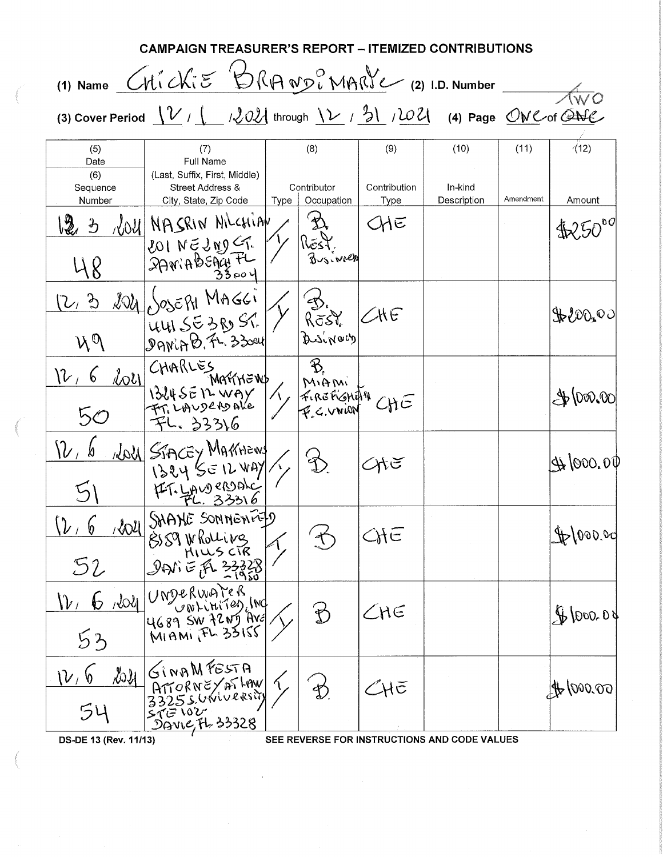| <b>CAMPAIGN TREASURER'S REPORT – ITEMIZED CONTRIBUTIONS</b>                                                                                                                                            |                                                                                                |      |                                  |                                     |                                              |                   |                     |  |
|--------------------------------------------------------------------------------------------------------------------------------------------------------------------------------------------------------|------------------------------------------------------------------------------------------------|------|----------------------------------|-------------------------------------|----------------------------------------------|-------------------|---------------------|--|
| (1) Name <i>CHICKIE</i> BRANDiMARIE (2) I.D. Number                                                                                                                                                    |                                                                                                |      |                                  |                                     |                                              |                   |                     |  |
| (3) Cover Period $\frac{1}{\sqrt{2}}$ / $\frac{1}{\sqrt{2}}$ / $\frac{202}{\sqrt{2}}$ through $\frac{1}{\sqrt{2}}$ / $\frac{202}{\sqrt{2}}$ (4) Page $\frac{0}{\sqrt{2}}$ (4) Cof $\frac{1}{\sqrt{2}}$ |                                                                                                |      |                                  |                                     |                                              |                   |                     |  |
| (5)<br>Date<br>(6)<br>Sequence<br>Number                                                                                                                                                               | (7)<br>Full Name<br>(Last, Suffix, First, Middle)<br>Street Address &<br>City, State, Zip Code | Type | (8)<br>Contributor<br>Occupation | (9)<br>Contribution<br>Type         | (10)<br>In-kind<br>Description               | (11)<br>Amendment | (12)<br>Amount      |  |
| ほっ                                                                                                                                                                                                     | VOU NASRIN NICHIAN                                                                             |      | 幺<br>REST.<br>Businner           | ЖΕ                                  |                                              |                   |                     |  |
| (2, 3)<br>$M^{\mathcal{O}}$                                                                                                                                                                            | $\frac{2021}{1005571}$ MAGGI<br>July SE3ROST.                                                  |      | B.<br>Rost                       | $\angle\!\!\!\mathsf{HE}$           |                                              |                   | \$200,00            |  |
| V <sub>1</sub> 6<br>50                                                                                                                                                                                 | Lou CHARLES<br>MAÑNEWS<br>MARTHEWS MILENILLAND<br>FL. 33316                                    |      | B,                               |                                     |                                              |                   | $\clubsuit$ (000.00 |  |
| $\nu_{\scriptscriptstyle\ell}$ b                                                                                                                                                                       | NOUL STACEY MARTIEWS<br>1324 SEILWAY/1<br>47.40000000                                          |      |                                  | সাত                                 |                                              |                   | 4600.00             |  |
| $(\nu, 6)$<br>52                                                                                                                                                                                       | Well SHANE SONNENFED<br>BIS9 Wholling<br>PHILLS CIR<br>DANIE FL 3323                           |      |                                  | <b>CHE</b>                          |                                              |                   | 4000000             |  |
|                                                                                                                                                                                                        | 12, 6, 2021 UNDERWATER                                                                         |      |                                  | $\angle$ NE                         |                                              |                   | 4000.08             |  |
| $\mathcal{V}_{\perp}$<br>54                                                                                                                                                                            | 2021 GINAMFESTA                                                                                |      | $\mathfrak{D}$                   | $\mathcal{Z}$ H $\bar{\mathcal{C}}$ |                                              |                   | \$600000            |  |
| DS-DE 13 (Rev. 11/13)                                                                                                                                                                                  |                                                                                                |      |                                  |                                     | SEE REVERSE FOR INSTRUCTIONS AND CODE VALUES |                   |                     |  |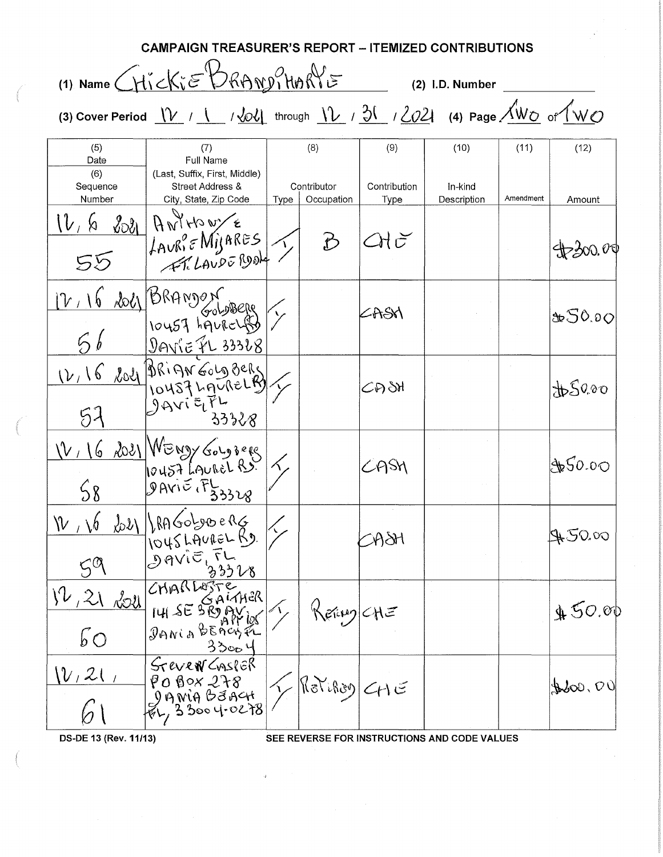|                                                                                                                                                                                                                                                                                                                                                     | <b>CAMPAIGN TREASURER'S REPORT - ITEMIZED CONTRIBUTIONS</b>                                                                                                                                            |      |                                  |                                |                                              |                   |                         |  |
|-----------------------------------------------------------------------------------------------------------------------------------------------------------------------------------------------------------------------------------------------------------------------------------------------------------------------------------------------------|--------------------------------------------------------------------------------------------------------------------------------------------------------------------------------------------------------|------|----------------------------------|--------------------------------|----------------------------------------------|-------------------|-------------------------|--|
|                                                                                                                                                                                                                                                                                                                                                     | (1) Name CHICKIE BRAND, HORIE                                                                                                                                                                          |      |                                  |                                | (2) I.D. Number                              |                   |                         |  |
| (3) Cover Period $V \leftarrow / \frac{1}{\sqrt{2}}$ / $\frac{1}{\sqrt{2}}$ / $\frac{1}{\sqrt{2}}$ / $\frac{1}{\sqrt{2}}$ / $\frac{1}{\sqrt{2}}$ / $\frac{1}{\sqrt{2}}$ / $\frac{1}{\sqrt{2}}$ / $\frac{1}{\sqrt{2}}$ / $\frac{1}{\sqrt{2}}$ / $\frac{1}{\sqrt{2}}$ / $\frac{1}{\sqrt{2}}$ / $\frac{1}{\sqrt{2}}$ / $\frac{1}{\sqrt{2}}$ / $\frac{$ |                                                                                                                                                                                                        |      |                                  |                                |                                              |                   |                         |  |
| (5)<br>Date<br>(6)<br>Sequence<br>Number                                                                                                                                                                                                                                                                                                            | (7)<br>Full Name<br>(Last, Suffix, First, Middle)<br>Street Address &<br>City, State, Zip Code                                                                                                         | Type | (8)<br>Contributor<br>Occupation | (9)<br>Contribution<br>Type    | (10)<br>In-kind<br>Description               | (11)<br>Amendment | (12)<br>Amount          |  |
| V, V<br>55                                                                                                                                                                                                                                                                                                                                          | 8081 Antrio w/E<br>LAURIE MIJARES                                                                                                                                                                      |      | か                                | $2H\, \check{\sigma}$          |                                              |                   | $\bigoplus$ 300.00      |  |
|                                                                                                                                                                                                                                                                                                                                                     | $\frac{12.16 \text{ kol}}{56} \frac{\frac{124}{10457}}{\frac{1242}{10457}} \times \frac{56}{10457}} \times \frac{56}{10457} \frac{\frac{1222}{1042248}}{\frac{1242}{10457}} \times \frac{284}{10457}}$ |      |                                  | SASN                           |                                              |                   | &50.00                  |  |
| 52                                                                                                                                                                                                                                                                                                                                                  | 33328                                                                                                                                                                                                  |      |                                  | CH SH                          |                                              |                   | \$50.00                 |  |
| 58                                                                                                                                                                                                                                                                                                                                                  | V16 2021 WENDY Gougheres<br><b>JAVIE FL33328</b>                                                                                                                                                       |      |                                  | CASH                           |                                              |                   | \$50.00                 |  |
| $V_{\perp}$ $6$                                                                                                                                                                                                                                                                                                                                     | $2021$ headobypo eng<br>1045 LAUREL RD.<br>DAVIE, FL                                                                                                                                                   |      |                                  | $\partial \partial \partial t$ |                                              |                   | It 50.00                |  |
| 12,21<br><u>2011</u><br>$6^{\circ}$                                                                                                                                                                                                                                                                                                                 | CHARLOSTE<br>GALAHER<br>$141$ SE SROAV<br>DANIA BEACHEL<br>33004                                                                                                                                       |      | Keitug CHE                       |                                |                                              |                   | 450.00                  |  |
| $(\mathcal{V}$ , 21                                                                                                                                                                                                                                                                                                                                 | STEVEN CASPER<br>$\begin{vmatrix} 0 & 0 & 0 & 0 & 0 \\ 0 & 0 & 0 & 0 & 0 \\ 0 & 0 & 0 & 0 & 0 \\ 0 & 0 & 0 & 0 & 0 \end{vmatrix}$                                                                      |      | $R$ a $Y$ iflag) $C$ 1 E         |                                |                                              |                   | $\text{Hoo}, \text{CO}$ |  |
| DS-DE 13 (Rev. 11/13)                                                                                                                                                                                                                                                                                                                               |                                                                                                                                                                                                        |      |                                  |                                | SEE REVERSE FOR INSTRUCTIONS AND CODE VALUES |                   |                         |  |

 $\hat{\Phi}$